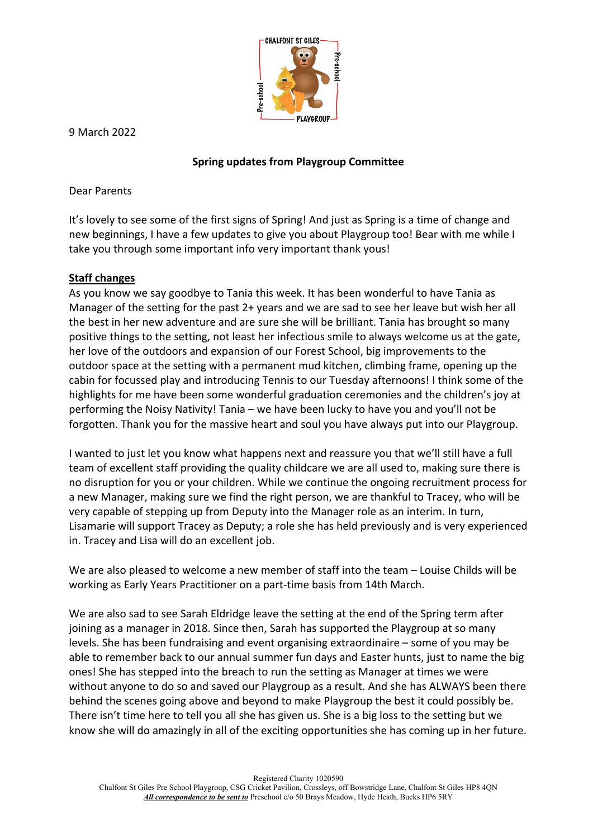

9 March 2022

## **Spring updates from Playgroup Committee**

Dear Parents

It's lovely to see some of the first signs of Spring! And just as Spring is a time of change and new beginnings, I have a few updates to give you about Playgroup too! Bear with me while I take you through some important info very important thank yous!

### **Staff changes**

As you know we say goodbye to Tania this week. It has been wonderful to have Tania as Manager of the setting for the past 2+ years and we are sad to see her leave but wish her all the best in her new adventure and are sure she will be brilliant. Tania has brought so many positive things to the setting, not least her infectious smile to always welcome us at the gate, her love of the outdoors and expansion of our Forest School, big improvements to the outdoor space at the setting with a permanent mud kitchen, climbing frame, opening up the cabin for focussed play and introducing Tennis to our Tuesday afternoons! I think some of the highlights for me have been some wonderful graduation ceremonies and the children's joy at performing the Noisy Nativity! Tania – we have been lucky to have you and you'll not be forgotten. Thank you for the massive heart and soul you have always put into our Playgroup.

I wanted to just let you know what happens next and reassure you that we'll still have a full team of excellent staff providing the quality childcare we are all used to, making sure there is no disruption for you or your children. While we continue the ongoing recruitment process for a new Manager, making sure we find the right person, we are thankful to Tracey, who will be very capable of stepping up from Deputy into the Manager role as an interim. In turn, Lisamarie will support Tracey as Deputy; a role she has held previously and is very experienced in. Tracey and Lisa will do an excellent job.

We are also pleased to welcome a new member of staff into the team – Louise Childs will be working as Early Years Practitioner on a part-time basis from 14th March.

We are also sad to see Sarah Eldridge leave the setting at the end of the Spring term after joining as a manager in 2018. Since then, Sarah has supported the Playgroup at so many levels. She has been fundraising and event organising extraordinaire – some of you may be able to remember back to our annual summer fun days and Easter hunts, just to name the big ones! She has stepped into the breach to run the setting as Manager at times we were without anyone to do so and saved our Playgroup as a result. And she has ALWAYS been there behind the scenes going above and beyond to make Playgroup the best it could possibly be. There isn't time here to tell you all she has given us. She is a big loss to the setting but we know she will do amazingly in all of the exciting opportunities she has coming up in her future.